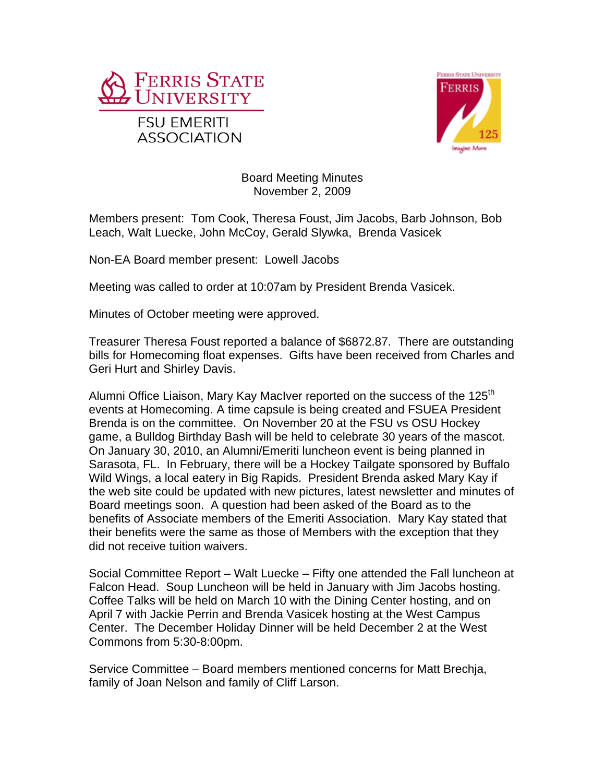



## Board Meeting Minutes November 2, 2009

Members present: Tom Cook, Theresa Foust, Jim Jacobs, Barb Johnson, Bob Leach, Walt Luecke, John McCoy, Gerald Slywka, Brenda Vasicek

Non-EA Board member present: Lowell Jacobs

Meeting was called to order at 10:07am by President Brenda Vasicek.

Minutes of October meeting were approved.

Treasurer Theresa Foust reported a balance of \$6872.87. There are outstanding bills for Homecoming float expenses. Gifts have been received from Charles and Geri Hurt and Shirley Davis.

Alumni Office Liaison, Mary Kay MacIver reported on the success of the 125<sup>th</sup> events at Homecoming. A time capsule is being created and FSUEA President Brenda is on the committee. On November 20 at the FSU vs OSU Hockey game, a Bulldog Birthday Bash will be held to celebrate 30 years of the mascot. On January 30, 2010, an Alumni/Emeriti luncheon event is being planned in Sarasota, FL. In February, there will be a Hockey Tailgate sponsored by Buffalo Wild Wings, a local eatery in Big Rapids. President Brenda asked Mary Kay if the web site could be updated with new pictures, latest newsletter and minutes of Board meetings soon. A question had been asked of the Board as to the benefits of Associate members of the Emeriti Association. Mary Kay stated that their benefits were the same as those of Members with the exception that they did not receive tuition waivers.

Social Committee Report – Walt Luecke – Fifty one attended the Fall luncheon at Falcon Head. Soup Luncheon will be held in January with Jim Jacobs hosting. Coffee Talks will be held on March 10 with the Dining Center hosting, and on April 7 with Jackie Perrin and Brenda Vasicek hosting at the West Campus Center. The December Holiday Dinner will be held December 2 at the West Commons from 5:30-8:00pm.

Service Committee – Board members mentioned concerns for Matt Brechja, family of Joan Nelson and family of Cliff Larson.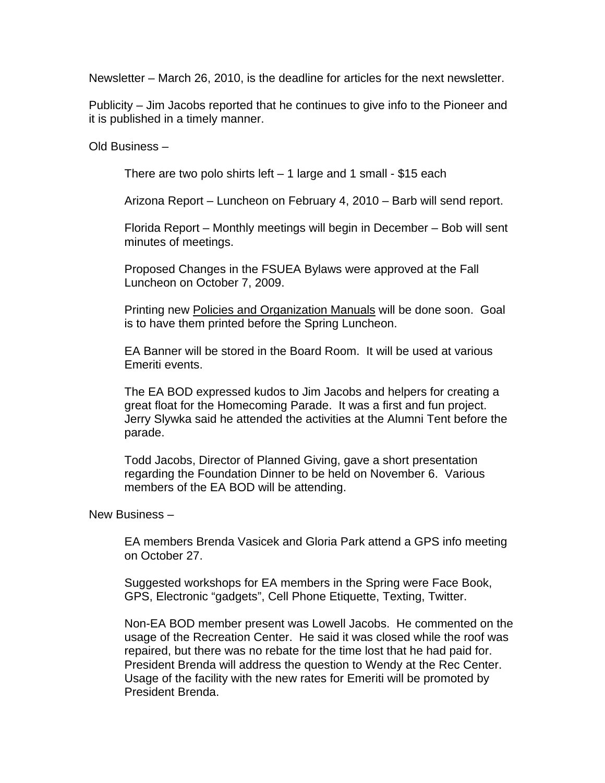Newsletter – March 26, 2010, is the deadline for articles for the next newsletter.

Publicity – Jim Jacobs reported that he continues to give info to the Pioneer and it is published in a timely manner.

Old Business –

There are two polo shirts left  $-1$  large and 1 small - \$15 each

Arizona Report – Luncheon on February 4, 2010 – Barb will send report.

Florida Report – Monthly meetings will begin in December – Bob will sent minutes of meetings.

Proposed Changes in the FSUEA Bylaws were approved at the Fall Luncheon on October 7, 2009.

Printing new Policies and Organization Manuals will be done soon. Goal is to have them printed before the Spring Luncheon.

EA Banner will be stored in the Board Room. It will be used at various Emeriti events.

The EA BOD expressed kudos to Jim Jacobs and helpers for creating a great float for the Homecoming Parade. It was a first and fun project. Jerry Slywka said he attended the activities at the Alumni Tent before the parade.

Todd Jacobs, Director of Planned Giving, gave a short presentation regarding the Foundation Dinner to be held on November 6. Various members of the EA BOD will be attending.

New Business –

EA members Brenda Vasicek and Gloria Park attend a GPS info meeting on October 27.

Suggested workshops for EA members in the Spring were Face Book, GPS, Electronic "gadgets", Cell Phone Etiquette, Texting, Twitter.

Non-EA BOD member present was Lowell Jacobs. He commented on the usage of the Recreation Center. He said it was closed while the roof was repaired, but there was no rebate for the time lost that he had paid for. President Brenda will address the question to Wendy at the Rec Center. Usage of the facility with the new rates for Emeriti will be promoted by President Brenda.